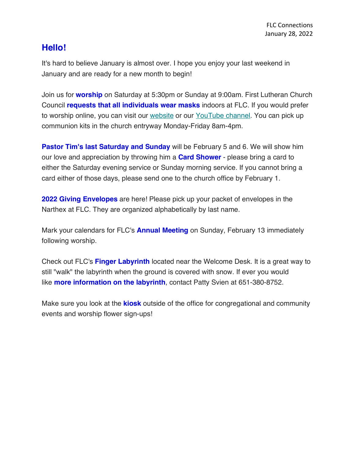## **Hello!**

It's hard to believe January is almost over. I hope you enjoy your last weekend in January and are ready for a new month to begin!

Join us for **worship** on Saturday at 5:30pm or Sunday at 9:00am. First Lutheran Church Council **requests that all individuals wear masks** indoors at FLC. If you would prefer to worship online, you can visit our website or our YouTube channel. You can pick up communion kits in the church entryway Monday-Friday 8am-4pm.

**Pastor Tim's last Saturday and Sunday** will be February 5 and 6. We will show him our love and appreciation by throwing him a **Card Shower** - please bring a card to either the Saturday evening service or Sunday morning service. If you cannot bring a card either of those days, please send one to the church office by February 1.

**2022 Giving Envelopes** are here! Please pick up your packet of envelopes in the Narthex at FLC. They are organized alphabetically by last name.

Mark your calendars for FLC's **Annual Meeting** on Sunday, February 13 immediately following worship.

Check out FLC's **Finger Labyrinth** located near the Welcome Desk. It is a great way to still "walk" the labyrinth when the ground is covered with snow. If ever you would like **more information on the labyrinth**, contact Patty Svien at 651-380-8752.

Make sure you look at the **kiosk** outside of the office for congregational and community events and worship flower sign-ups!